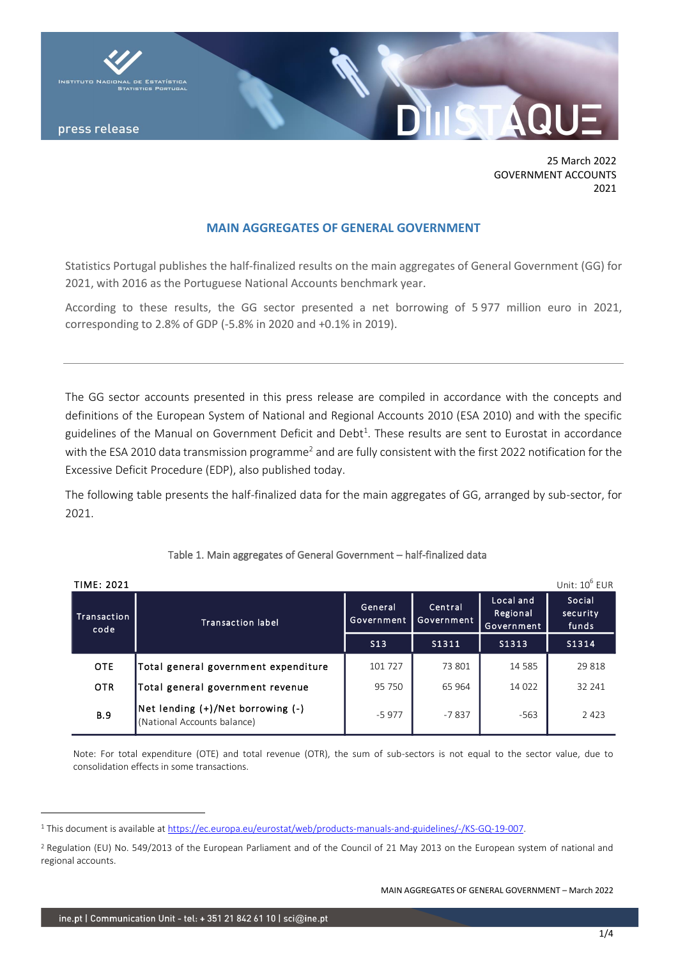

press release

25 March 2022 GOVERNMENT ACCOUNTS 2021

# **MAIN AGGREGATES OF GENERAL GOVERNMENT**

Statistics Portugal publishes the half-finalized results on the main aggregates of General Government (GG) for 2021, with 2016 as the Portuguese National Accounts benchmark year.

According to these results, the GG sector presented a net borrowing of 5 977 million euro in 2021, corresponding to 2.8% of GDP (-5.8% in 2020 and +0.1% in 2019).

The GG sector accounts presented in this press release are compiled in accordance with the concepts and definitions of the European System of National and Regional Accounts 2010 (ESA 2010) and with the specific guidelines of the Manual on Government Deficit and Debt<sup>1</sup>. These results are sent to Eurostat in accordance with the ESA 2010 data transmission programme<sup>2</sup> and are fully consistent with the first 2022 notification for the Excessive Deficit Procedure (EDP), also published today.

The following table presents the half-finalized data for the main aggregates of GG, arranged by sub-sector, for 2021.

| Unit: $10^6$ EUR<br><b>TIME: 2021</b> |                                                                  |                       |                       |                                     |                             |
|---------------------------------------|------------------------------------------------------------------|-----------------------|-----------------------|-------------------------------------|-----------------------------|
| Transaction<br>code                   | <b>Transaction label</b>                                         | General<br>Government | Central<br>Government | Local and<br>Regional<br>Government | Social<br>security<br>funds |
|                                       |                                                                  | S13                   | S1311                 | S1313                               | S1314                       |
| <b>OTE</b>                            | Total general government expenditure                             | 101 727               | 73 801                | 14 5 8 5                            | 29818                       |
| <b>OTR</b>                            | Total general government revenue                                 | 95 750                | 65 964                | 14 0 22                             | 32 241                      |
| <b>B.9</b>                            | Net lending (+)/Net borrowing (-)<br>(National Accounts balance) | $-5977$               | $-7837$               | $-563$                              | 2 4 2 3                     |

# Table 1. Main aggregates of General Government – half-finalized data

Note: For total expenditure (OTE) and total revenue (OTR), the sum of sub-sectors is not equal to the sector value, due to consolidation effects in some transactions.

MAIN AGGREGATES OF GENERAL GOVERNMENT – March 2022

<sup>&</sup>lt;sup>1</sup> This document is available at [https://ec.europa.eu/eurostat/web/products-manuals-and-guidelines/-/KS-GQ-19-007.](https://ec.europa.eu/eurostat/web/products-manuals-and-guidelines/-/KS-GQ-19-007)

<sup>&</sup>lt;sup>2</sup> Regulation (EU) No. 549/2013 of the European Parliament and of the Council of 21 May 2013 on the European system of national and regional accounts.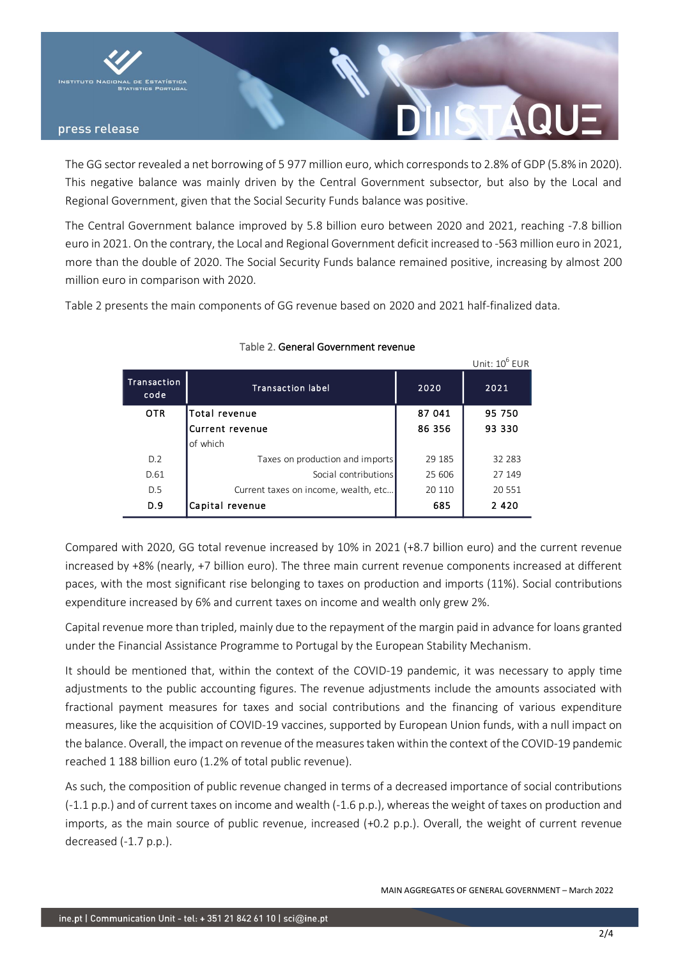

# press release

The GG sector revealed a net borrowing of 5 977 million euro, which corresponds to 2.8% of GDP (5.8% in 2020). This negative balance was mainly driven by the Central Government subsector, but also by the Local and Regional Government, given that the Social Security Funds balance was positive.

The Central Government balance improved by 5.8 billion euro between 2020 and 2021, reaching -7.8 billion euro in 2021. On the contrary, the Local and Regional Government deficit increased to -563 million euro in 2021, more than the double of 2020. The Social Security Funds balance remained positive, increasing by almost 200 million euro in comparison with 2020.

Table 2 presents the main components of GG revenue based on 2020 and 2021 half-finalized data.

|                     |                                      |        | Unit: 10 <sup>6</sup> EUR |
|---------------------|--------------------------------------|--------|---------------------------|
| Transaction<br>code | <b>Transaction label</b>             | 2020   | 2021                      |
| <b>OTR</b>          | Total revenue                        | 87 041 | 95 750                    |
|                     | Current revenue                      | 86 356 | 93 330                    |
|                     | of which                             |        |                           |
| D.2                 | Taxes on production and imports      | 29 185 | 32 283                    |
| D.61                | Social contributions                 | 25 606 | 27 149                    |
| D.5                 | Current taxes on income, wealth, etc | 20 110 | 20 551                    |
| D.9                 | Capital revenue                      | 685    | 2 4 2 0                   |

# Table 2. General Government revenue

Compared with 2020, GG total revenue increased by 10% in 2021 (+8.7 billion euro) and the current revenue increased by +8% (nearly, +7 billion euro). The three main current revenue components increased at different paces, with the most significant rise belonging to taxes on production and imports (11%). Social contributions expenditure increased by 6% and current taxes on income and wealth only grew 2%.

Capital revenue more than tripled, mainly due to the repayment of the margin paid in advance for loans granted under the Financial Assistance Programme to Portugal by the European Stability Mechanism.

It should be mentioned that, within the context of the COVID-19 pandemic, it was necessary to apply time adjustments to the public accounting figures. The revenue adjustments include the amounts associated with fractional payment measures for taxes and social contributions and the financing of various expenditure measures, like the acquisition of COVID-19 vaccines, supported by European Union funds, with a null impact on the balance. Overall, the impact on revenue of the measures taken within the context of the COVID-19 pandemic reached 1 188 billion euro (1.2% of total public revenue).

As such, the composition of public revenue changed in terms of a decreased importance of social contributions (-1.1 p.p.) and of current taxes on income and wealth (-1.6 p.p.), whereas the weight of taxes on production and imports, as the main source of public revenue, increased (+0.2 p.p.). Overall, the weight of current revenue decreased (-1.7 p.p.).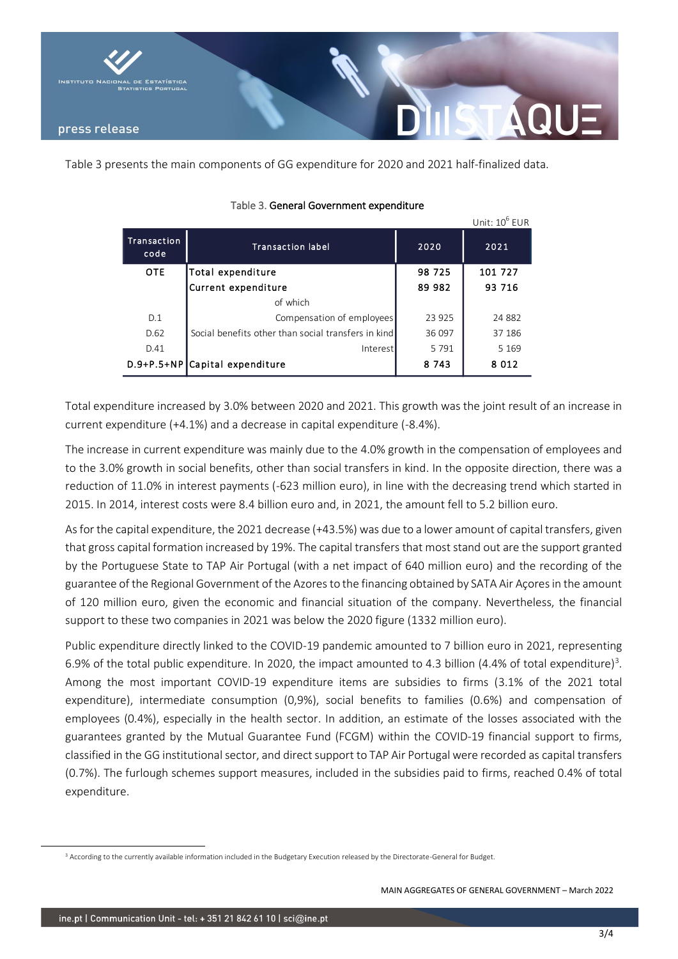

Table 3 presents the main components of GG expenditure for 2020 and 2021 half-finalized data.

|                     |                                                     |         | Unit: $10^6$ EUR |
|---------------------|-----------------------------------------------------|---------|------------------|
| Transaction<br>code | <b>Transaction label</b>                            | 2020    | 2021             |
| <b>OTE</b>          | Total expenditure                                   | 98 725  | 101 727          |
|                     | Current expenditure                                 | 89 982  | 93 716           |
|                     | of which                                            |         |                  |
| D.1                 | Compensation of employees                           | 23 925  | 24 8 82          |
| D.62                | Social benefits other than social transfers in kind | 36 097  | 37 186           |
| D.41                | Interest                                            | 5791    | 5 1 6 9          |
|                     | D.9+P.5+NP Capital expenditure                      | 8 7 4 3 | 8 0 1 2          |

# Table 3. General Government expenditure

Total expenditure increased by 3.0% between 2020 and 2021. This growth was the joint result of an increase in current expenditure (+4.1%) and a decrease in capital expenditure (-8.4%).

The increase in current expenditure was mainly due to the 4.0% growth in the compensation of employees and to the 3.0% growth in social benefits, other than social transfers in kind. In the opposite direction, there was a reduction of 11.0% in interest payments (-623 million euro), in line with the decreasing trend which started in 2015. In 2014, interest costs were 8.4 billion euro and, in 2021, the amount fell to 5.2 billion euro.

As for the capital expenditure, the 2021 decrease (+43.5%) was due to a lower amount of capital transfers, given that gross capital formation increased by 19%. The capital transfers that most stand out are the support granted by the Portuguese State to TAP Air Portugal (with a net impact of 640 million euro) and the recording of the guarantee of the Regional Government of the Azores to the financing obtained by SATA Air Açores in the amount of 120 million euro, given the economic and financial situation of the company. Nevertheless, the financial support to these two companies in 2021 was below the 2020 figure (1332 million euro).

Public expenditure directly linked to the COVID-19 pandemic amounted to 7 billion euro in 2021, representing 6.9% of the total public expenditure. In 2020, the impact amounted to 4.3 billion (4.4% of total expenditure)<sup>3</sup>. Among the most important COVID-19 expenditure items are subsidies to firms (3.1% of the 2021 total expenditure), intermediate consumption (0,9%), social benefits to families (0.6%) and compensation of employees (0.4%), especially in the health sector. In addition, an estimate of the losses associated with the guarantees granted by the Mutual Guarantee Fund (FCGM) within the COVID-19 financial support to firms, classified in the GG institutional sector, and direct support to TAP Air Portugal were recorded as capital transfers (0.7%). The furlough schemes support measures, included in the subsidies paid to firms, reached 0.4% of total expenditure.

<sup>&</sup>lt;sup>3</sup> According to the currently available information included in the Budgetary Execution released by the Directorate-General for Budget.